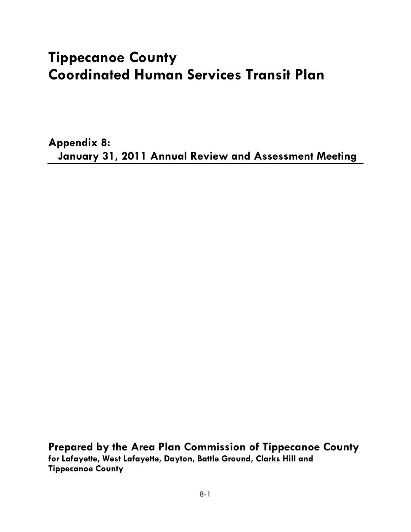# **Tippecanoe County Coordinated Human Services Transit Plan**

**Appendix 8: January 31, 2011 Annual Review and Assessment Meeting** 

**Prepared by the Area Plan Commission of Tippecanoe County for Lafayette, West Lafayette, Dayton, Battle Ground, Clarks Hill and Tippecanoe County**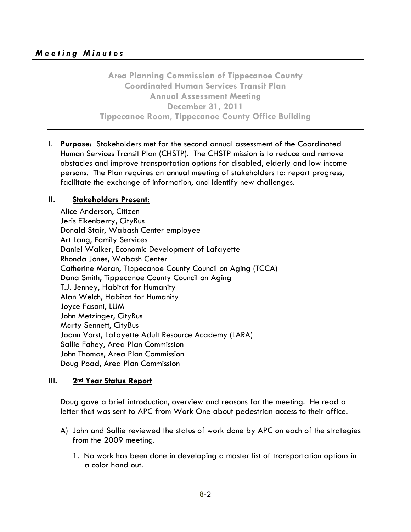**Area Planning Commission of Tippecanoe County Coordinated Human Services Transit Plan Annual Assessment Meeting December 31, 2011 Tippecanoe Room, Tippecanoe County Office Building** 

I. **Purpose**: Stakeholders met for the second annual assessment of the Coordinated Human Services Transit Plan (CHSTP). The CHSTP mission is to reduce and remove obstacles and improve transportation options for disabled, elderly and low income persons. The Plan requires an annual meeting of stakeholders to: report progress, facilitate the exchange of information, and identify new challenges.

#### **II. Stakeholders Present:**

Alice Anderson, Citizen Jeris Eikenberry, CityBus Donald Stair, Wabash Center employee Art Lang, Family Services Daniel Walker, Economic Development of Lafayette Rhonda Jones, Wabash Center Catherine Moran, Tippecanoe County Council on Aging (TCCA) Dana Smith, Tippecanoe County Council on Aging T.J. Jenney, Habitat for Humanity Alan Welch, Habitat for Humanity Joyce Fasani, LUM John Metzinger, CityBus Marty Sennett, CityBus Joann Vorst, Lafayette Adult Resource Academy (LARA) Sallie Fahey, Area Plan Commission John Thomas, Area Plan Commission Doug Poad, Area Plan Commission

#### **III.** 2<sup>nd</sup> Year Status Report

Doug gave a brief introduction, overview and reasons for the meeting. He read a letter that was sent to APC from Work One about pedestrian access to their office.

- A) John and Sallie reviewed the status of work done by APC on each of the strategies from the 2009 meeting.
	- 1. No work has been done in developing a master list of transportation options in a color hand out.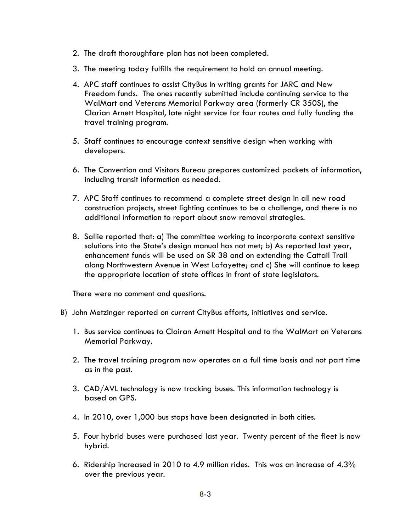- 2. The draft thoroughfare plan has not been completed.
- 3. The meeting today fulfills the requirement to hold an annual meeting.
- 4. APC staff continues to assist CityBus in writing grants for JARC and New Freedom funds. The ones recently submitted include continuing service to the WalMart and Veterans Memorial Parkway area (formerly CR 350S), the Clarian Arnett Hospital, late night service for four routes and fully funding the travel training program.
- 5. Staff continues to encourage context sensitive design when working with developers.
- 6. The Convention and Visitors Bureau prepares customized packets of information, including transit information as needed.
- additional information to report about snow removal strategies. 7. APC Staff continues to recommend a complete street design in all new road construction projects, street lighting continues to be a challenge, and there is no
- 8. Sallie reported that: a) The committee working to incorporate context sensitive solutions into the State's design manual has not met; b) As reported last year, enhancement funds will be used on SR 38 and on extending the Cattail Trail along Northwestern Avenue in West Lafayette; and c) She will continue to keep the appropriate location of state offices in front of state legislators.

There were no comment and questions.

- B) John Metzinger reported on current CityBus efforts, initiatives and service.
	- 1. Bus service continues to Clairan Arnett Hospital and to the WalMart on Veterans Memorial Parkway.
	- 2. The travel training program now operates on a full time basis and not part time as in the past.
	- 3. CAD/AVL technology is now tracking buses. This information technology is based on GPS.
	- 4. In 2010, over 1,000 bus stops have been designated in both cities.
	- 5. Four hybrid buses were purchased last year. Twenty percent of the fleet is now hybrid.
	- 6. Ridership increased in 2010 to 4.9 million rides. This was an increase of 4.3% over the previous year.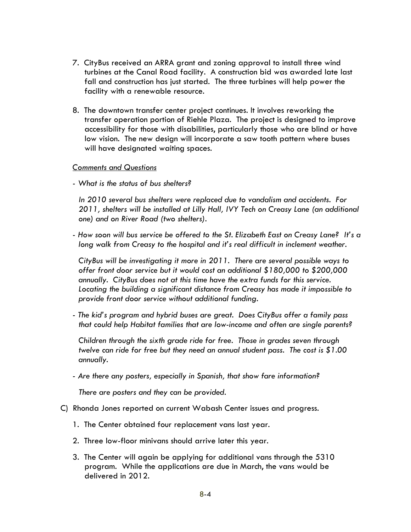- 7. CityBus received an ARRA grant and zoning approval to install three wind turbines at the Canal Road facility. A construction bid was awarded late last fall and construction has just started. The three turbines will help power the facility with a renewable resource.
- 8. The downtown transfer center project continues. It involves reworking the transfer operation portion of Riehle Plaza. The project is designed to improve accessibility for those with disabilities, particularly those who are blind or have low vision. The new design will incorporate a saw tooth pattern where buses will have designated waiting spaces.

#### *Comments and Questions*

*- What is the status of bus shelters?* 

*In 2010 several bus shelters were replaced due to vandalism and accidents. For 2011, shelters will be installed at Lilly Hall, IVY Tech on Creasy Lane (an additional one) and on River Road (two shelters).* 

*- How soon will bus service be offered to the St. Elizabeth East on Creasy Lane? It's a long walk from Creasy to the hospital and it's real difficult in inclement weather.* 

*CityBus will be investigating it more in 2011. There are several possible ways to offer front door service but it would cost an additional \$180,000 to \$200,000 annually. CityBus does not at this time have the extra funds for this service. Locating the building a significant distance from Creasy has made it impossible to provide front door service without additional funding.* 

 *that could help Habitat families that are low-income and often are single parents? Children through the sixth grade ride for free. Those in grades seven through - The kid's program and hybrid buses are great. Does CityBus offer a family pass* 

*twelve can ride for free but they need an annual student pass. The cost is \$1.00 annually.* 

*- Are there any posters, especially in Spanish, that show fare information?* 

*There are posters and they can be provided.* 

- C) Rhonda Jones reported on current Wabash Center issues and progress.
	- 1. The Center obtained four replacement vans last year.
	- 2. Three low-floor minivans should arrive later this year.
	- 3. The Center will again be applying for additional vans through the 5310 program. While the applications are due in March, the vans would be delivered in 2012.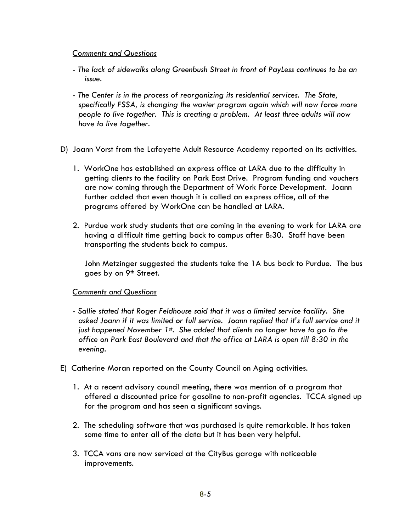#### *Comments and Questions*

- *The lack of sidewalks along Greenbush Street in front of PayLess continues to be an issue.*
- *The Center is in the process of reorganizing its residential services. The State, specifically FSSA, is changing the wavier program again which will now force more people to live together. This is creating a problem. At least three adults will now have to live together.*
- D) Joann Vorst from the Lafayette Adult Resource Academy reported on its activities.
	- 1. WorkOne has established an express office at LARA due to the difficulty in getting clients to the facility on Park East Drive. Program funding and vouchers are now coming through the Department of Work Force Development. Joann further added that even though it is called an express office, all of the programs offered by WorkOne can be handled at LARA.
	- 2. Purdue work study students that are coming in the evening to work for LARA are having a difficult time getting back to campus after 8:30. Staff have been transporting the students back to campus.

John Metzinger suggested the students take the 1A bus back to Purdue. The bus goes by on 9<sup>th</sup> Street.

#### *Comments and Questions*

- *Sallie stated that Roger Feldhouse said that it was a limited service facility. She asked Joann if it was limited or full service. Joann replied that it's full service and it just happened November 1st. She added that clients no longer have to go to the office on Park East Boulevard and that the office at LARA is open till 8:30 in the evening.*
- E) Catherine Moran reported on the County Council on Aging activities.
	- for the program and has seen a significant savings. 1. At a recent advisory council meeting, there was mention of a program that offered a discounted price for gasoline to non-profit agencies. TCCA signed up
	- 2. The scheduling software that was purchased is quite remarkable. It has taken some time to enter all of the data but it has been very helpful.
	- 3. TCCA vans are now serviced at the CityBus garage with noticeable improvements.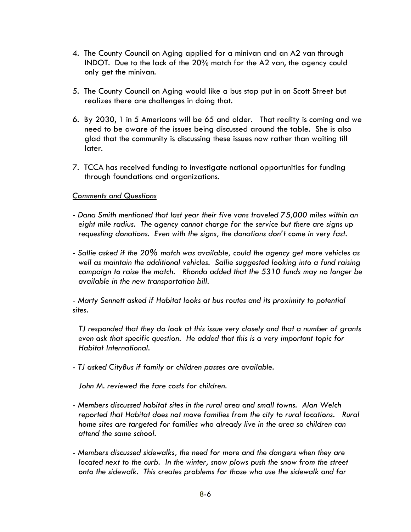- only get the minivan. 4. The County Council on Aging applied for a minivan and an A2 van through INDOT. Due to the lack of the 20% match for the A2 van, the agency could
- 5. The County Council on Aging would like a bus stop put in on Scott Street but realizes there are challenges in doing that.
- 6. By 2030, 1 in 5 Americans will be 65 and older. That reality is coming and we need to be aware of the issues being discussed around the table. She is also glad that the community is discussing these issues now rather than waiting till later.
- 7. TCCA has received funding to investigate national opportunities for funding through foundations and organizations.

#### *Comments and Questions*

- *Dana Smith mentioned that last year their five vans traveled 75,000 miles within an eight mile radius. The agency cannot charge for the service but there are signs up requesting donations. Even with the signs, the donations don't come in very fast.*
- *Sallie asked if the 20% match was available, could the agency get more vehicles as well as maintain the additional vehicles. Sallie suggested looking into a fund raising campaign to raise the match. Rhonda added that the 5310 funds may no longer be available in the new transportation bill.*

*- Marty Sennett asked if Habitat looks at bus routes and its proximity to potential sites.* 

*TJ responded that they do look at this issue very closely and that a number of grants even ask that specific question. He added that this is a very important topic for Habitat International.* 

*- TJ asked CityBus if family or children passes are available.* 

*John M. reviewed the fare costs for children.* 

- *Members discussed habitat sites in the rural area and small towns. Alan Welch*  reported that Habitat does not move families from the city to rural locations. Rural *home sites are targeted for families who already live in the area so children can attend the same school.*
- *Members discussed sidewalks, the need for more and the dangers when they are located next to the curb. In the winter, snow plows push the snow from the street onto the sidewalk. This creates problems for those who use the sidewalk and for*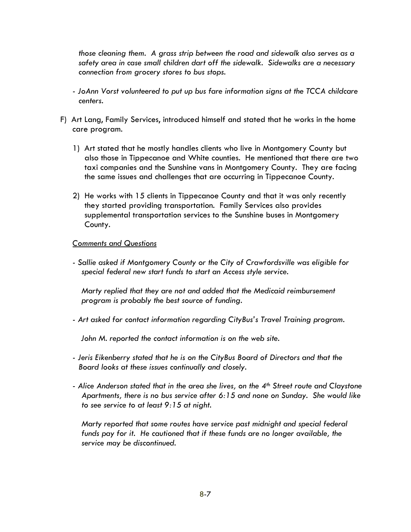*those cleaning them. A grass strip between the road and sidewalk also serves as a safety area in case small children dart off the sidewalk. Sidewalks are a necessary connection from grocery stores to bus stops.* 

- *JoAnn Vorst volunteered to put up bus fare information signs at the TCCA childcare centers.*
- F) Art Lang, Family Services, introduced himself and stated that he works in the home care program.
	- 1) Art stated that he mostly handles clients who live in Montgomery County but also those in Tippecanoe and White counties. He mentioned that there are two taxi companies and the Sunshine vans in Montgomery County. They are facing the same issues and challenges that are occurring in Tippecanoe County.
	- 2) He works with 15 clients in Tippecanoe County and that it was only recently they started providing transportation. Family Services also provides supplemental transportation services to the Sunshine buses in Montgomery County.

#### *Comments and Questions*

*- Sallie asked if Montgomery County or the City of Crawfordsville was eligible for special federal new start funds to start an Access style service.* 

*Marty replied that they are not and added that the Medicaid reimbursement program is probably the best source of funding.* 

*- Art asked for contact information regarding CityBus's Travel Training program.* 

 *John M. reported the contact information is on the web site.* 

- *Jeris Eikenberry stated that he is on the CityBus Board of Directors and that the Board looks at these issues continually and closely.*
- to see service to at least 9:15 at night. *- Alice Anderson stated that in the area she lives, on the 4th Street route and Claystone Apartments, there is no bus service after 6:15 and none on Sunday. She would like*

*to see service to at least 9:15 at night. Marty reported that some routes have service past midnight and special federal funds pay for it. He cautioned that if these funds are no longer available, the service may be discontinued.*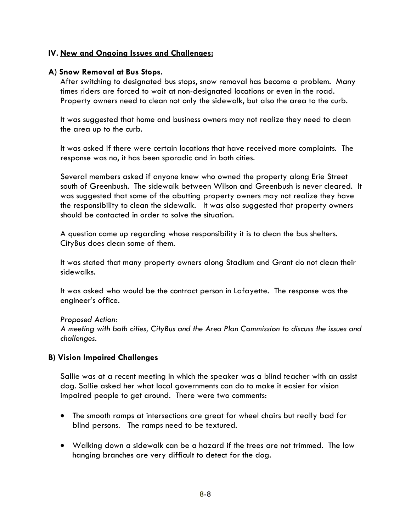#### **IV. New and Ongoing Issues and Challenges:**

#### **A) Snow Removal at Bus Stops.**

times riders are forced to wait at non-designated locations or even in the road. After switching to designated bus stops, snow removal has become a problem. Many Property owners need to clean not only the sidewalk, but also the area to the curb.

It was suggested that home and business owners may not realize they need to clean the area up to the curb.

It was asked if there were certain locations that have received more complaints. The response was no, it has been sporadic and in both cities.

Several members asked if anyone knew who owned the property along Erie Street south of Greenbush. The sidewalk between Wilson and Greenbush is never cleared. It was suggested that some of the abutting property owners may not realize they have the responsibility to clean the sidewalk. It was also suggested that property owners should be contacted in order to solve the situation.

A question came up regarding whose responsibility it is to clean the bus shelters. CityBus does clean some of them.

It was stated that many property owners along Stadium and Grant do not clean their sidewalks.

It was asked who would be the contract person in Lafayette. The response was the engineer's office.

#### *Proposed Action:*

*A meeting with both cities, CityBus and the Area Plan Commission to discuss the issues and challenges.* 

#### **B) Vision Impaired Challenges**

Sallie was at a recent meeting in which the speaker was a blind teacher with an assist dog. Sallie asked her what local governments can do to make it easier for vision impaired people to get around. There were two comments:

- The smooth ramps at intersections are great for wheel chairs but really bad for blind persons. The ramps need to be textured.
- hanging branches are very difficult to detect for the dog.<br> $8\text{-}8$  Walking down a sidewalk can be a hazard if the trees are not trimmed. The low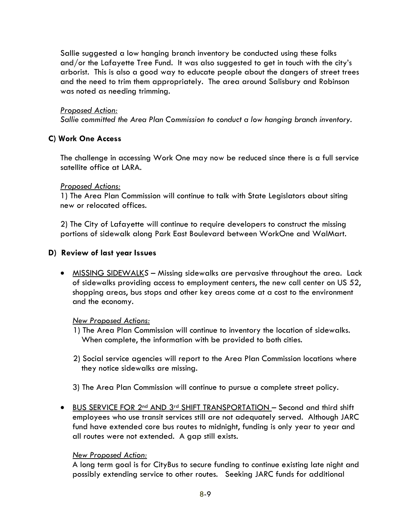Sallie suggested a low hanging branch inventory be conducted using these folks and/or the Lafayette Tree Fund. It was also suggested to get in touch with the city's arborist. This is also a good way to educate people about the dangers of street trees and the need to trim them appropriately. The area around Salisbury and Robinson was noted as needing trimming.

#### *Proposed Action:*

*Sallie committed the Area Plan Commission to conduct a low hanging branch inventory.* 

#### **C) Work One Access**

The challenge in accessing Work One may now be reduced since there is a full service satellite office at LARA.

#### *Proposed Actions:*

1) The Area Plan Commission will continue to talk with State Legislators about siting new or relocated offices.

2) The City of Lafayette will continue to require developers to construct the missing portions of sidewalk along Park East Boulevard between WorkOne and WalMart.

#### **D) Review of last year Issues**

 MISSING SIDEWALK*S* – Missing sidewalks are pervasive throughout the area. Lack of sidewalks providing access to employment centers, the new call center on US 52, shopping areas, bus stops and other key areas come at a cost to the environment and the economy.

#### *New Proposed Actions:*

- When complete, the information with be provided to both cities. 1) The Area Plan Commission will continue to inventory the location of sidewalks.
- 2) Social service agencies will report to the Area Plan Commission locations where they notice sidewalks are missing.
- 3) The Area Plan Commission will continue to pursue a complete street policy.
- BUS SERVICE FOR 2nd AND 3rd SHIFT TRANSPORTATION Second and third shift employees who use transit services still are not adequately served. Although JARC fund have extended core bus routes to midnight, funding is only year to year and all routes were not extended. A gap still exists.

#### *New Proposed Action:*

A long term goal is for CityBus to secure funding to continue existing late night and possibly extending service to other routes. Seeking JARC funds for additional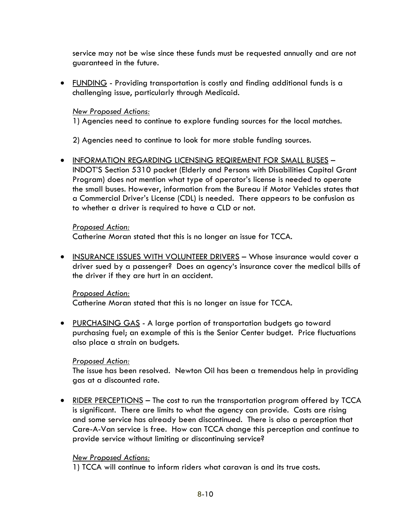service may not be wise since these funds must be requested annually and are not guaranteed in the future.

 FUNDING - Providing transportation is costly and finding additional funds is a challenging issue, particularly through Medicaid.

# *New Proposed Actions:*

1) Agencies need to continue to explore funding sources for the local matches.

2) Agencies need to continue to look for more stable funding sources.

 INFORMATION REGARDING LICENSING REQIREMENT FOR SMALL BUSES – INDOT'S Section 5310 packet (Elderly and Persons with Disabilities Capital Grant Program) does not mention what type of operator's license is needed to operate the small buses. However, information from the Bureau if Motor Vehicles states that a Commercial Driver's License (CDL) is needed. There appears to be confusion as to whether a driver is required to have a CLD or not.

### *Proposed Action:*

Catherine Moran stated that this is no longer an issue for TCCA.

• INSURANCE ISSUES WITH VOLUNTEER DRIVERS – Whose insurance would cover a driver sued by a passenger? Does an agency's insurance cover the medical bills of the driver if they are hurt in an accident.

# *Proposed Action:*

Catherine Moran stated that this is no longer an issue for TCCA.

 also place a strain on budgets. • PURCHASING GAS - A large portion of transportation budgets go toward purchasing fuel; an example of this is the Senior Center budget. Price fluctuations

#### *Proposed Action:*

The issue has been resolved. Newton Oil has been a tremendous help in providing gas at a discounted rate.

 RIDER PERCEPTIONS – The cost to run the transportation program offered by TCCA is significant. There are limits to what the agency can provide. Costs are rising and some service has already been discontinued. There is also a perception that Care-A-Van service is free. How can TCCA change this perception and continue to provide service without limiting or discontinuing service?

#### *New Proposed Actions:*

1) TCCA will continue to inform riders what caravan is and its true costs.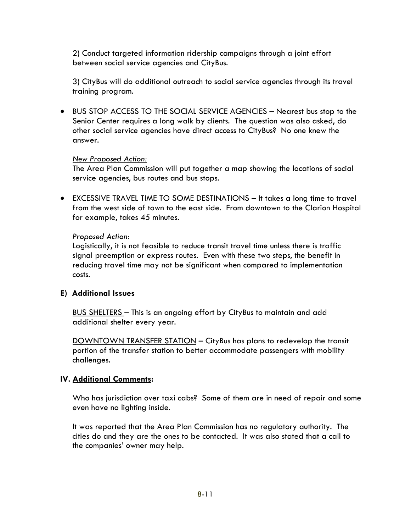2) Conduct targeted information ridership campaigns through a joint effort between social service agencies and CityBus.

3) CityBus will do additional outreach to social service agencies through its travel training program.

 BUS STOP ACCESS TO THE SOCIAL SERVICE AGENCIES – Nearest bus stop to the Senior Center requires a long walk by clients. The question was also asked, do other social service agencies have direct access to CityBus? No one knew the answer.

#### *New Proposed Action:*

 service agencies, bus routes and bus stops. The Area Plan Commission will put together a map showing the locations of social

 for example, takes 45 minutes. • EXCESSIVE TRAVEL TIME TO SOME DESTINATIONS - It takes a long time to travel from the west side of town to the east side. From downtown to the Clarion Hospital

#### *Proposed Action:*

Logistically, it is not feasible to reduce transit travel time unless there is traffic signal preemption or express routes. Even with these two steps, the benefit in reducing travel time may not be significant when compared to implementation costs.

#### **E) Additional Issues**

BUS SHELTERS – This is an ongoing effort by CityBus to maintain and add additional shelter every year.

DOWNTOWN TRANSFER STATION – CityBus has plans to redevelop the transit portion of the transfer station to better accommodate passengers with mobility challenges.

#### **IV. Additional Comments:**

Who has jurisdiction over taxi cabs? Some of them are in need of repair and some even have no lighting inside.

It was reported that the Area Plan Commission has no regulatory authority. The cities do and they are the ones to be contacted. It was also stated that a call to the companies' owner may help.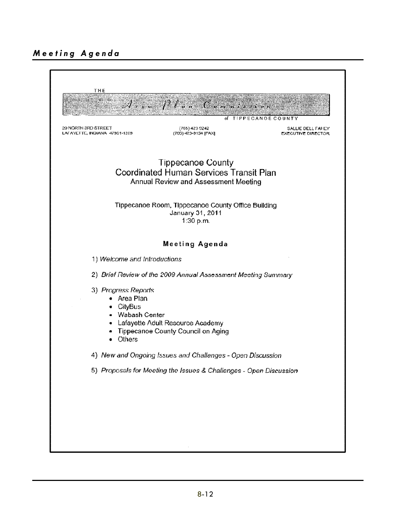# *Meeting Agenda*